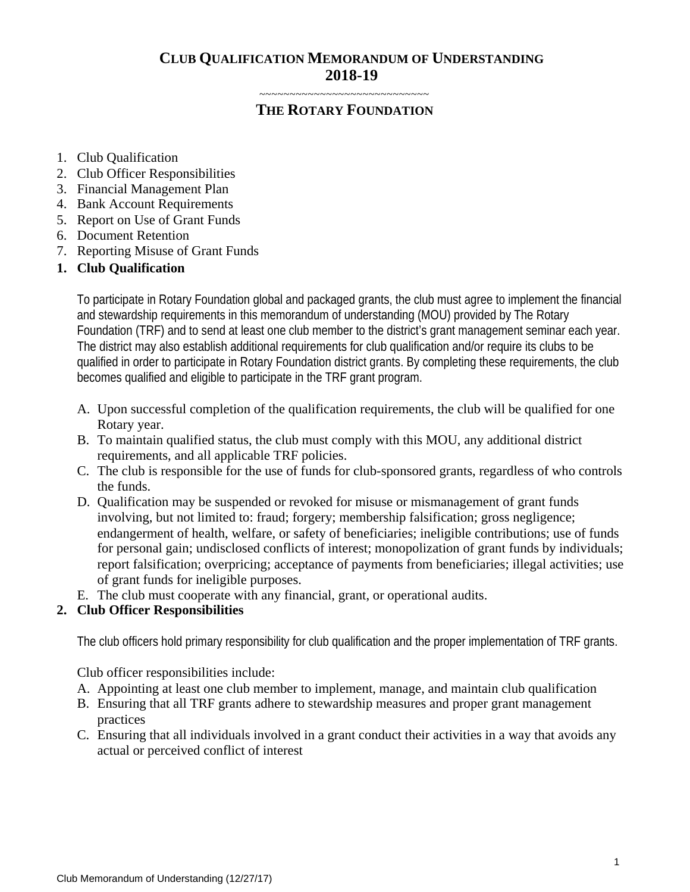# **CLUB QUALIFICATION MEMORANDUM OF UNDERSTANDING 2018-19**

~~~~~~~~~~~~~~~~~~~~~~~~~~~~

# **THE ROTARY FOUNDATION**

- 1. Club Qualification
- 2. Club Officer Responsibilities
- 3. Financial Management Plan
- 4. Bank Account Requirements
- 5. Report on Use of Grant Funds
- 6. Document Retention
- 7. Reporting Misuse of Grant Funds

# **1. Club Qualification**

To participate in Rotary Foundation global and packaged grants, the club must agree to implement the financial and stewardship requirements in this memorandum of understanding (MOU) provided by The Rotary Foundation (TRF) and to send at least one club member to the district's grant management seminar each year. The district may also establish additional requirements for club qualification and/or require its clubs to be qualified in order to participate in Rotary Foundation district grants. By completing these requirements, the club becomes qualified and eligible to participate in the TRF grant program.

- A. Upon successful completion of the qualification requirements, the club will be qualified for one Rotary year.
- B. To maintain qualified status, the club must comply with this MOU, any additional district requirements, and all applicable TRF policies.
- C. The club is responsible for the use of funds for club-sponsored grants, regardless of who controls the funds.
- D. Qualification may be suspended or revoked for misuse or mismanagement of grant funds involving, but not limited to: fraud; forgery; membership falsification; gross negligence; endangerment of health, welfare, or safety of beneficiaries; ineligible contributions; use of funds for personal gain; undisclosed conflicts of interest; monopolization of grant funds by individuals; report falsification; overpricing; acceptance of payments from beneficiaries; illegal activities; use of grant funds for ineligible purposes.
- E. The club must cooperate with any financial, grant, or operational audits.

# **2. Club Officer Responsibilities**

The club officers hold primary responsibility for club qualification and the proper implementation of TRF grants.

Club officer responsibilities include:

- A. Appointing at least one club member to implement, manage, and maintain club qualification
- B. Ensuring that all TRF grants adhere to stewardship measures and proper grant management practices
- C. Ensuring that all individuals involved in a grant conduct their activities in a way that avoids any actual or perceived conflict of interest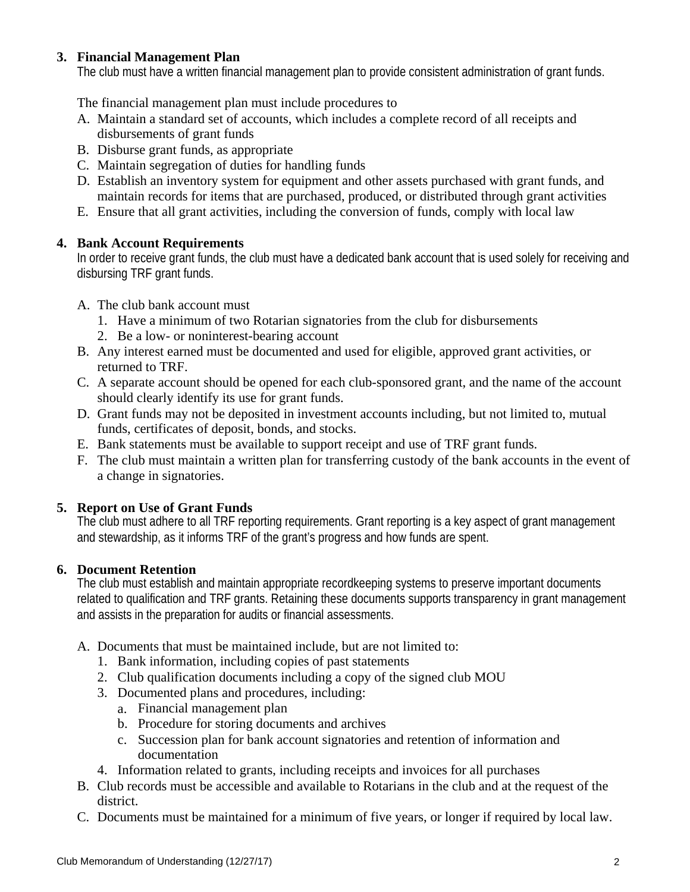# **3. Financial Management Plan**

The club must have a written financial management plan to provide consistent administration of grant funds.

The financial management plan must include procedures to

- A. Maintain a standard set of accounts, which includes a complete record of all receipts and disbursements of grant funds
- B. Disburse grant funds, as appropriate
- C. Maintain segregation of duties for handling funds
- D. Establish an inventory system for equipment and other assets purchased with grant funds, and maintain records for items that are purchased, produced, or distributed through grant activities
- E. Ensure that all grant activities, including the conversion of funds, comply with local law

#### **4. Bank Account Requirements**

In order to receive grant funds, the club must have a dedicated bank account that is used solely for receiving and disbursing TRF grant funds.

- A. The club bank account must
	- 1. Have a minimum of two Rotarian signatories from the club for disbursements
	- 2. Be a low- or noninterest-bearing account
- B. Any interest earned must be documented and used for eligible, approved grant activities, or returned to TRF.
- C. A separate account should be opened for each club-sponsored grant, and the name of the account should clearly identify its use for grant funds.
- D. Grant funds may not be deposited in investment accounts including, but not limited to, mutual funds, certificates of deposit, bonds, and stocks.
- E. Bank statements must be available to support receipt and use of TRF grant funds.
- F. The club must maintain a written plan for transferring custody of the bank accounts in the event of a change in signatories.

# **5. Report on Use of Grant Funds**

The club must adhere to all TRF reporting requirements. Grant reporting is a key aspect of grant management and stewardship, as it informs TRF of the grant's progress and how funds are spent.

# **6. Document Retention**

The club must establish and maintain appropriate recordkeeping systems to preserve important documents related to qualification and TRF grants. Retaining these documents supports transparency in grant management and assists in the preparation for audits or financial assessments.

- A. Documents that must be maintained include, but are not limited to:
	- 1. Bank information, including copies of past statements
	- 2. Club qualification documents including a copy of the signed club MOU
	- 3. Documented plans and procedures, including:
		- a. Financial management plan
		- b. Procedure for storing documents and archives
		- c. Succession plan for bank account signatories and retention of information and documentation
	- 4. Information related to grants, including receipts and invoices for all purchases
- B. Club records must be accessible and available to Rotarians in the club and at the request of the district.
- C. Documents must be maintained for a minimum of five years, or longer if required by local law.